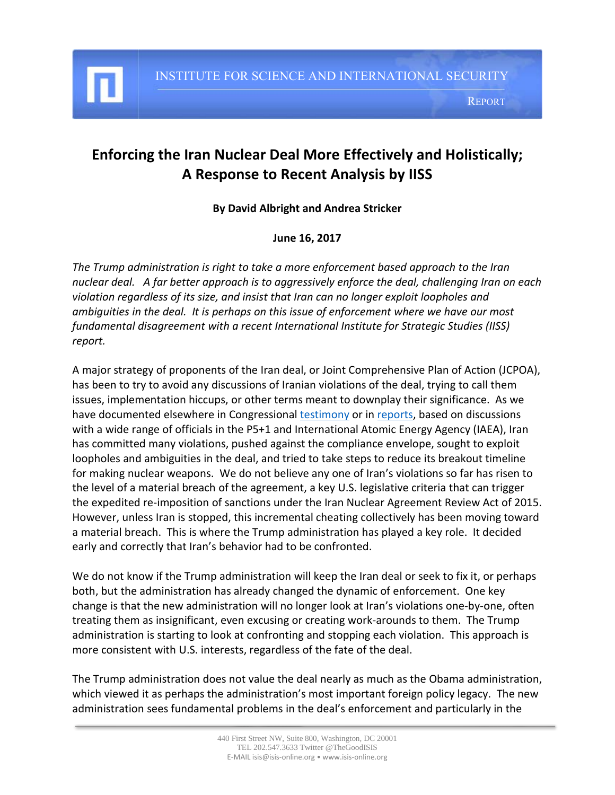

I

## **Enforcing the Iran Nuclear Deal More Effectively and Holistically; A Response to Recent Analysis by IISS**

## **By David Albright and Andrea Stricker**

## **June 16, 2017**

*The Trump administration is right to take a more enforcement based approach to the Iran nuclear deal. A far better approach is to aggressively enforce the deal, challenging Iran on each violation regardless of its size, and insist that Iran can no longer exploit loopholes and ambiguities in the deal. It is perhaps on this issue of enforcement where we have our most fundamental disagreement with a recent International Institute for Strategic Studies (IISS) report.*

A major strategy of proponents of the Iran deal, or Joint Comprehensive Plan of Action (JCPOA), has been to try to avoid any discussions of Iranian violations of the deal, trying to call them issues, implementation hiccups, or other terms meant to downplay their significance. As we have documented elsewhere in Congressiona[l testimony](http://isis-online.org/conferences/detail/house-subcommittee-testimony-of-david-albright-on-assessing-iran-nuclear-de) or in [reports,](http://isis-online.org/isis-reports/detail/is-iran-mass-producing-advanced-centrifuges) based on discussions with a wide range of officials in the P5+1 and International Atomic Energy Agency (IAEA), Iran has committed many violations, pushed against the compliance envelope, sought to exploit loopholes and ambiguities in the deal, and tried to take steps to reduce its breakout timeline for making nuclear weapons. We do not believe any one of Iran's violations so far has risen to the level of a material breach of the agreement, a key U.S. legislative criteria that can trigger the expedited re-imposition of sanctions under the Iran Nuclear Agreement Review Act of 2015. However, unless Iran is stopped, this incremental cheating collectively has been moving toward a material breach. This is where the Trump administration has played a key role. It decided early and correctly that Iran's behavior had to be confronted.

We do not know if the Trump administration will keep the Iran deal or seek to fix it, or perhaps both, but the administration has already changed the dynamic of enforcement. One key change is that the new administration will no longer look at Iran's violations one-by-one, often treating them as insignificant, even excusing or creating work-arounds to them. The Trump administration is starting to look at confronting and stopping each violation. This approach is more consistent with U.S. interests, regardless of the fate of the deal.

The Trump administration does not value the deal nearly as much as the Obama administration, which viewed it as perhaps the administration's most important foreign policy legacy. The new administration sees fundamental problems in the deal's enforcement and particularly in the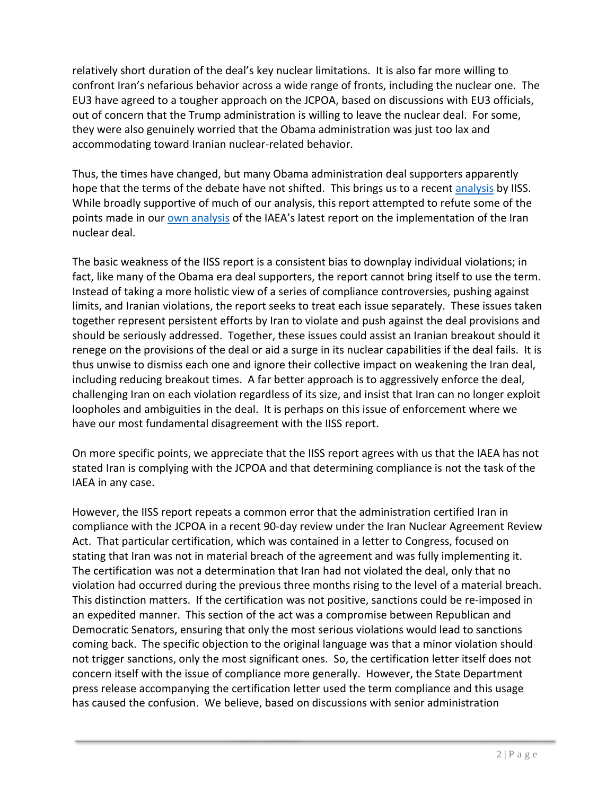relatively short duration of the deal's key nuclear limitations. It is also far more willing to confront Iran's nefarious behavior across a wide range of fronts, including the nuclear one. The EU3 have agreed to a tougher approach on the JCPOA, based on discussions with EU3 officials, out of concern that the Trump administration is willing to leave the nuclear deal. For some, they were also genuinely worried that the Obama administration was just too lax and accommodating toward Iranian nuclear-related behavior.

Thus, the times have changed, but many Obama administration deal supporters apparently hope that the terms of the debate have not shifted. This brings us to a recent [analysis](http://www.iiss.org/en/politics%20and%20strategy/blogsections/2017-6dda/june-df35/critics-are-wrong-iran-remains-in-compliance-3a61) by IISS. While broadly supportive of much of our analysis, this report attempted to refute some of the points made in ou[r own analysis](http://isis-online.org/isis-reports/detail/analysis-of-the-iaeas-sixth-iran-nuclear-deal-report-a-return-to-more-limit) of the IAEA's latest report on the implementation of the Iran nuclear deal.

The basic weakness of the IISS report is a consistent bias to downplay individual violations; in fact, like many of the Obama era deal supporters, the report cannot bring itself to use the term. Instead of taking a more holistic view of a series of compliance controversies, pushing against limits, and Iranian violations, the report seeks to treat each issue separately. These issues taken together represent persistent efforts by Iran to violate and push against the deal provisions and should be seriously addressed. Together, these issues could assist an Iranian breakout should it renege on the provisions of the deal or aid a surge in its nuclear capabilities if the deal fails. It is thus unwise to dismiss each one and ignore their collective impact on weakening the Iran deal, including reducing breakout times. A far better approach is to aggressively enforce the deal, challenging Iran on each violation regardless of its size, and insist that Iran can no longer exploit loopholes and ambiguities in the deal. It is perhaps on this issue of enforcement where we have our most fundamental disagreement with the IISS report.

On more specific points, we appreciate that the IISS report agrees with us that the IAEA has not stated Iran is complying with the JCPOA and that determining compliance is not the task of the IAEA in any case.

However, the IISS report repeats a common error that the administration certified Iran in compliance with the JCPOA in a recent 90-day review under the Iran Nuclear Agreement Review Act. That particular certification, which was contained in a letter to Congress, focused on stating that Iran was not in material breach of the agreement and was fully implementing it. The certification was not a determination that Iran had not violated the deal, only that no violation had occurred during the previous three months rising to the level of a material breach. This distinction matters. If the certification was not positive, sanctions could be re-imposed in an expedited manner. This section of the act was a compromise between Republican and Democratic Senators, ensuring that only the most serious violations would lead to sanctions coming back. The specific objection to the original language was that a minor violation should not trigger sanctions, only the most significant ones. So, the certification letter itself does not concern itself with the issue of compliance more generally. However, the State Department press release accompanying the certification letter used the term compliance and this usage has caused the confusion. We believe, based on discussions with senior administration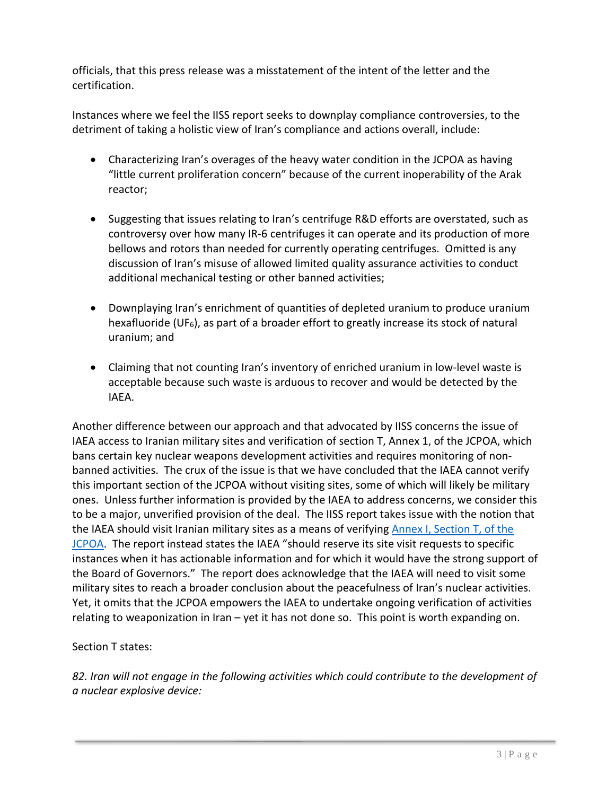officials, that this press release was a misstatement of the intent of the letter and the certification.

Instances where we feel the IISS report seeks to downplay compliance controversies, to the detriment of taking a holistic view of Iran's compliance and actions overall, include:

- Characterizing Iran's overages of the heavy water condition in the JCPOA as having "little current proliferation concern" because of the current inoperability of the Arak reactor;
- Suggesting that issues relating to Iran's centrifuge R&D efforts are overstated, such as controversy over how many IR-6 centrifuges it can operate and its production of more bellows and rotors than needed for currently operating centrifuges. Omitted is any discussion of Iran's misuse of allowed limited quality assurance activities to conduct additional mechanical testing or other banned activities;
- Downplaying Iran's enrichment of quantities of depleted uranium to produce uranium hexafluoride (UF6), as part of a broader effort to greatly increase its stock of natural uranium; and
- Claiming that not counting Iran's inventory of enriched uranium in low-level waste is acceptable because such waste is arduous to recover and would be detected by the IAEA.

Another difference between our approach and that advocated by IISS concerns the issue of IAEA access to Iranian military sites and verification of section T, Annex 1, of the JCPOA, which bans certain key nuclear weapons development activities and requires monitoring of nonbanned activities. The crux of the issue is that we have concluded that the IAEA cannot verify this important section of the JCPOA without visiting sites, some of which will likely be military ones. Unless further information is provided by the IAEA to address concerns, we consider this to be a major, unverified provision of the deal. The IISS report takes issue with the notion that the IAEA should visit Iranian military sites as a means of verifying Annex I, Section T, of the [JCPOA.](https://www.state.gov/documents/organization/245318.pdf) The report instead states the IAEA "should reserve its site visit requests to specific instances when it has actionable information and for which it would have the strong support of the Board of Governors." The report does acknowledge that the IAEA will need to visit some military sites to reach a broader conclusion about the peacefulness of Iran's nuclear activities. Yet, it omits that the JCPOA empowers the IAEA to undertake ongoing verification of activities relating to weaponization in Iran – yet it has not done so. This point is worth expanding on.

Section T states:

*82. Iran will not engage in the following activities which could contribute to the development of a nuclear explosive device:*